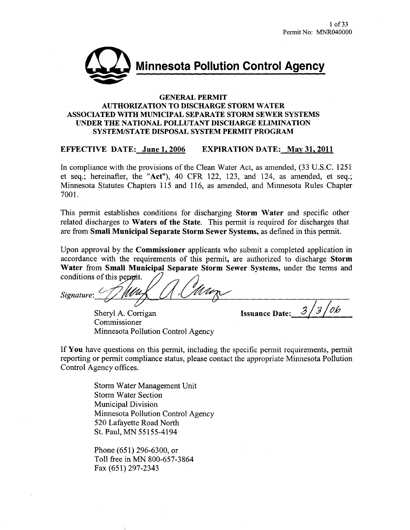

#### **GENERAL PERMIT AUTHORIZATION TO DISCHARGE STORM WATER** ASSOCIATED WITH MUNICIPAL SEPARATE STORM SEWER SYSTEMS UNDER THE NATIONAL POLLUTANT DISCHARGE ELIMINATION SYSTEM/STATE DISPOSAL SYSTEM PERMIT PROGRAM

#### **EFFECTIVE DATE: June 1, 2006 EXPIRATION DATE: May 31, 2011**

In compliance with the provisions of the Clean Water Act, as amended, (33 U.S.C. 1251) et seq.; hereinafter, the "Act"), 40 CFR 122, 123, and 124, as amended, et seq.; Minnesota Statutes Chapters 115 and 116, as amended, and Minnesota Rules Chapter 7001.

This permit establishes conditions for discharging Storm Water and specific other related discharges to Waters of the State. This permit is required for discharges that are from Small Municipal Separate Storm Sewer Systems, as defined in this permit.

Upon approval by the **Commissioner** applicants who submit a completed application in accordance with the requirements of this permit, are authorized to discharge Storm Water from Small Municipal Separate Storm Sewer Systems, under the terms and conditions of this permit.

Signature:

Sheryl A. Corrigan Commissioner Minnesota Pollution Control Agency

06 **Issuance Date:** 

If You have questions on this permit, including the specific permit requirements, permit reporting or permit compliance status, please contact the appropriate Minnesota Pollution Control Agency offices.

> Storm Water Management Unit **Storm Water Section Municipal Division** Minnesota Pollution Control Agency 520 Lafayette Road North St. Paul, MN 55155-4194

Phone (651) 296-6300, or Toll free in MN 800-657-3864 Fax (651) 297-2343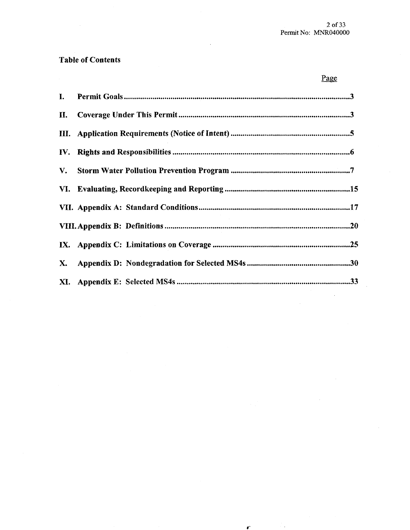Page

 $\bar{\beta}$ 

 $\mathbf{r}^{\text{max}}$  and  $\mathbf{r}^{\text{max}}$ 

## **Table of Contents**

 $\sim$ 

| I.        |  |
|-----------|--|
| II.       |  |
|           |  |
|           |  |
|           |  |
|           |  |
|           |  |
|           |  |
|           |  |
| <b>X.</b> |  |
|           |  |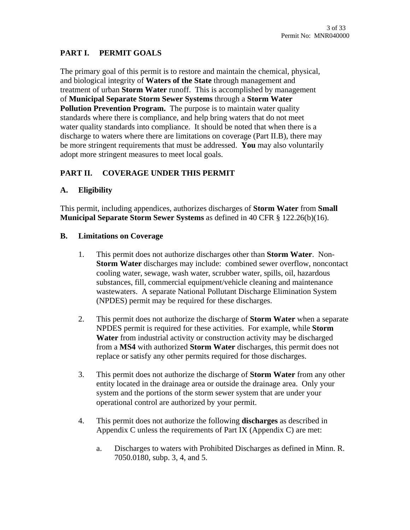# **PART I. PERMIT GOALS**

The primary goal of this permit is to restore and maintain the chemical, physical, and biological integrity of **Waters of the State** through management and treatment of urban **Storm Water** runoff. This is accomplished by management of **Municipal Separate Storm Sewer Systems** through a **Storm Water Pollution Prevention Program.** The purpose is to maintain water quality standards where there is compliance, and help bring waters that do not meet water quality standards into compliance. It should be noted that when there is a discharge to waters where there are limitations on coverage (Part II.B), there may be more stringent requirements that must be addressed. **You** may also voluntarily adopt more stringent measures to meet local goals.

# **PART II. COVERAGE UNDER THIS PERMIT**

# **A. Eligibility**

This permit, including appendices, authorizes discharges of **Storm Water** from **Small Municipal Separate Storm Sewer Systems** as defined in 40 CFR § 122.26(b)(16).

#### **B. Limitations on Coverage**

- 1. This permit does not authorize discharges other than **Storm Water**. Non-**Storm Water** discharges may include: combined sewer overflow, noncontact cooling water, sewage, wash water, scrubber water, spills, oil, hazardous substances, fill, commercial equipment/vehicle cleaning and maintenance wastewaters. A separate National Pollutant Discharge Elimination System (NPDES) permit may be required for these discharges.
- 2. This permit does not authorize the discharge of **Storm Water** when a separate NPDES permit is required for these activities. For example, while **Storm Water** from industrial activity or construction activity may be discharged from a **MS4** with authorized **Storm Water** discharges, this permit does not replace or satisfy any other permits required for those discharges.
- 3. This permit does not authorize the discharge of **Storm Water** from any other entity located in the drainage area or outside the drainage area. Only your system and the portions of the storm sewer system that are under your operational control are authorized by your permit.
- 4. This permit does not authorize the following **discharges** as described in Appendix C unless the requirements of Part IX (Appendix C) are met:
	- a. Discharges to waters with Prohibited Discharges as defined in Minn. R. 7050.0180, subp. 3, 4, and 5.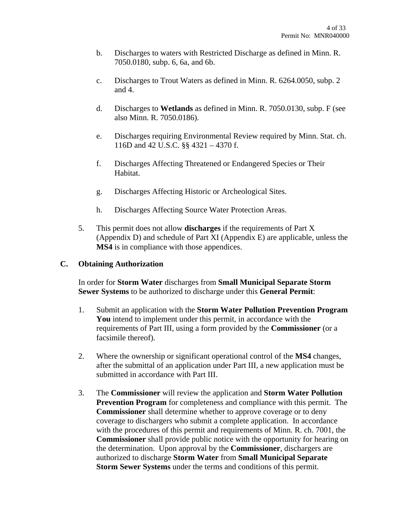- b. Discharges to waters with Restricted Discharge as defined in Minn. R. 7050.0180, subp. 6, 6a, and 6b.
- c. Discharges to Trout Waters as defined in Minn. R. 6264.0050, subp. 2 and 4.
- d. Discharges to **Wetlands** as defined in Minn. R. 7050.0130, subp. F (see also Minn. R. 7050.0186).
- e. Discharges requiring Environmental Review required by Minn. Stat. ch. 116D and 42 U.S.C. §§ 4321 – 4370 f.
- f. Discharges Affecting Threatened or Endangered Species or Their Habitat.
- g. Discharges Affecting Historic or Archeological Sites.
- h. Discharges Affecting Source Water Protection Areas.
- 5. This permit does not allow **discharges** if the requirements of Part X (Appendix D) and schedule of Part XI (Appendix E) are applicable, unless the **MS4** is in compliance with those appendices.

#### **C. Obtaining Authorization**

 In order for **Storm Water** discharges from **Small Municipal Separate Storm Sewer Systems** to be authorized to discharge under this **General Permit**:

- 1. Submit an application with the **Storm Water Pollution Prevention Program You** intend to implement under this permit, in accordance with the requirements of Part III, using a form provided by the **Commissioner** (or a facsimile thereof).
- 2. Where the ownership or significant operational control of the **MS4** changes, after the submittal of an application under Part III, a new application must be submitted in accordance with Part III.
- 3. The **Commissioner** will review the application and **Storm Water Pollution Prevention Program** for completeness and compliance with this permit. The **Commissioner** shall determine whether to approve coverage or to deny coverage to dischargers who submit a complete application. In accordance with the procedures of this permit and requirements of Minn. R. ch. 7001, the **Commissioner** shall provide public notice with the opportunity for hearing on the determination. Upon approval by the **Commissioner**, dischargers are authorized to discharge **Storm Water** from **Small Municipal Separate Storm Sewer Systems** under the terms and conditions of this permit.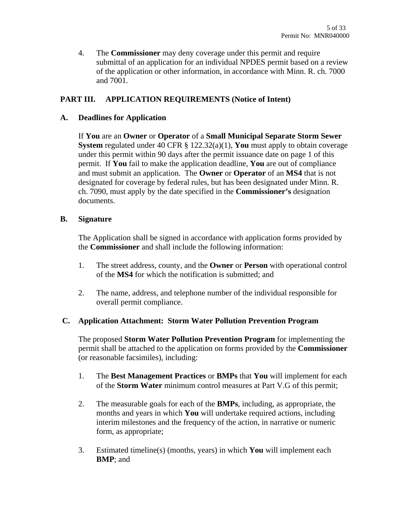4. The **Commissioner** may deny coverage under this permit and require submittal of an application for an individual NPDES permit based on a review of the application or other information, in accordance with Minn. R. ch. 7000 and 7001.

## **PART III. APPLICATION REQUIREMENTS (Notice of Intent)**

#### **A. Deadlines for Application**

If **You** are an **Owner** or **Operator** of a **Small Municipal Separate Storm Sewer System** regulated under 40 CFR § 122.32(a)(1), **You** must apply to obtain coverage under this permit within 90 days after the permit issuance date on page 1 of this permit. If **You** fail to make the application deadline, **You** are out of compliance and must submit an application. The **Owner** or **Operator** of an **MS4** that is not designated for coverage by federal rules, but has been designated under Minn. R. ch. 7090, must apply by the date specified in the **Commissioner's** designation documents.

#### **B. Signature**

The Application shall be signed in accordance with application forms provided by the **Commissioner** and shall include the following information:

- 1. The street address, county, and the **Owner** or **Person** with operational control of the **MS4** for which the notification is submitted; and
- 2. The name, address, and telephone number of the individual responsible for overall permit compliance.

#### **C. Application Attachment: Storm Water Pollution Prevention Program**

The proposed **Storm Water Pollution Prevention Program** for implementing the permit shall be attached to the application on forms provided by the **Commissioner** (or reasonable facsimiles), including:

- 1. The **Best Management Practices** or **BMPs** that **You** will implement for each of the **Storm Water** minimum control measures at Part V.G of this permit;
- 2. The measurable goals for each of the **BMPs**, including, as appropriate, the months and years in which **You** will undertake required actions, including interim milestones and the frequency of the action, in narrative or numeric form, as appropriate;
- 3. Estimated timeline(s) (months, years) in which **You** will implement each **BMP**; and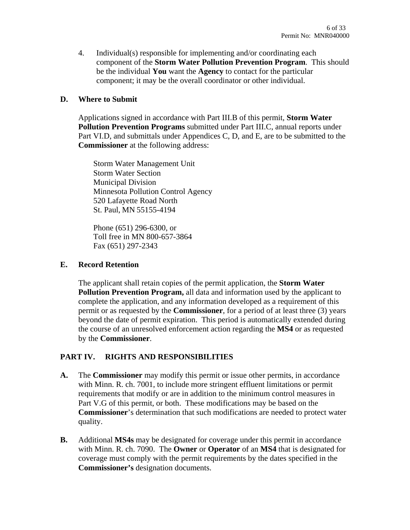4. Individual(s) responsible for implementing and/or coordinating each component of the **Storm Water Pollution Prevention Program**. This should be the individual **You** want the **Agency** to contact for the particular component; it may be the overall coordinator or other individual.

#### **D. Where to Submit**

Applications signed in accordance with Part III.B of this permit, **Storm Water Pollution Prevention Programs** submitted under Part III.C, annual reports under Part VI.D, and submittals under Appendices C, D, and E, are to be submitted to the **Commissioner** at the following address:

Storm Water Management Unit Storm Water Section Municipal Division Minnesota Pollution Control Agency 520 Lafayette Road North St. Paul, MN 55155-4194

Phone (651) 296-6300, or Toll free in MN 800-657-3864 Fax (651) 297-2343

#### **E. Record Retention**

The applicant shall retain copies of the permit application, the **Storm Water Pollution Prevention Program,** all data and information used by the applicant to complete the application, and any information developed as a requirement of this permit or as requested by the **Commissioner**, for a period of at least three (3) years beyond the date of permit expiration. This period is automatically extended during the course of an unresolved enforcement action regarding the **MS4** or as requested by the **Commissioner**.

## **PART IV. RIGHTS AND RESPONSIBILITIES**

- **A.** The **Commissioner** may modify this permit or issue other permits, in accordance with Minn. R. ch. 7001, to include more stringent effluent limitations or permit requirements that modify or are in addition to the minimum control measures in Part V.G of this permit, or both. These modifications may be based on the **Commissioner**'s determination that such modifications are needed to protect water quality.
- **B.** Additional **MS4s** may be designated for coverage under this permit in accordance with Minn. R. ch. 7090. The **Owner** or **Operator** of an **MS4** that is designated for coverage must comply with the permit requirements by the dates specified in the **Commissioner's** designation documents.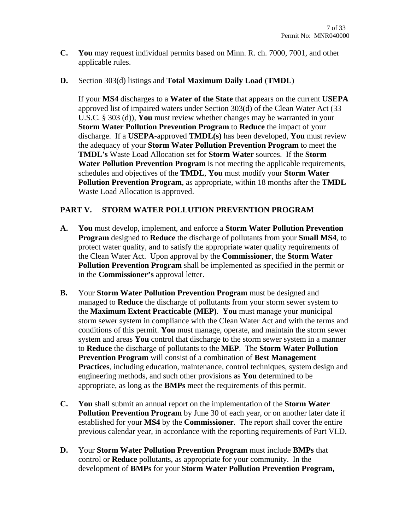- **C. You** may request individual permits based on Minn. R. ch. 7000, 7001, and other applicable rules.
- **D.** Section 303(d) listings and **Total Maximum Daily Load** (**TMDL**)

If your **MS4** discharges to a **Water of the State** that appears on the current **USEPA**  approved list of impaired waters under Section 303(d) of the Clean Water Act (33 U.S.C. § 303 (d)), **You** must review whether changes may be warranted in your **Storm Water Pollution Prevention Program** to **Reduce** the impact of your discharge. If a **USEPA**-approved **TMDL(s)** has been developed, **You** must review the adequacy of your **Storm Water Pollution Prevention Program** to meet the **TMDL's** Waste Load Allocation set for **Storm Water** sources. If the **Storm Water Pollution Prevention Program** is not meeting the applicable requirements, schedules and objectives of the **TMDL**, **You** must modify your **Storm Water Pollution Prevention Program**, as appropriate, within 18 months after the **TMDL** Waste Load Allocation is approved.

## **PART V. STORM WATER POLLUTION PREVENTION PROGRAM**

- **A. You** must develop, implement, and enforce a **Storm Water Pollution Prevention Program** designed to **Reduce** the discharge of pollutants from your **Small MS4**, to protect water quality, and to satisfy the appropriate water quality requirements of the Clean Water Act. Upon approval by the **Commissioner**, the **Storm Water Pollution Prevention Program** shall be implemented as specified in the permit or in the **Commissioner's** approval letter.
- **B.** Your **Storm Water Pollution Prevention Program** must be designed and managed to **Reduce** the discharge of pollutants from your storm sewer system to the **Maximum Extent Practicable (MEP)**. **You** must manage your municipal storm sewer system in compliance with the Clean Water Act and with the terms and conditions of this permit. **You** must manage, operate, and maintain the storm sewer system and areas **You** control that discharge to the storm sewer system in a manner to **Reduce** the discharge of pollutants to the **MEP**. The **Storm Water Pollution Prevention Program** will consist of a combination of **Best Management Practices**, including education, maintenance, control techniques, system design and engineering methods, and such other provisions as **You** determined to be appropriate, as long as the **BMPs** meet the requirements of this permit.
- **C. You** shall submit an annual report on the implementation of the **Storm Water Pollution Prevention Program** by June 30 of each year, or on another later date if established for your **MS4** by the **Commissioner**. The report shall cover the entire previous calendar year, in accordance with the reporting requirements of Part VI.D.
- **D.** Your **Storm Water Pollution Prevention Program** must include **BMPs** that control or **Reduce** pollutants, as appropriate for your community. In the development of **BMPs** for your **Storm Water Pollution Prevention Program,**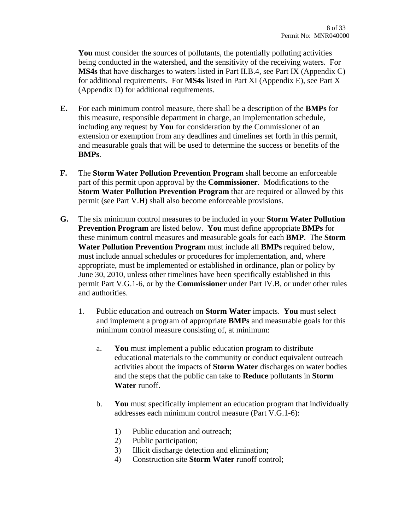**You** must consider the sources of pollutants, the potentially polluting activities being conducted in the watershed, and the sensitivity of the receiving waters. For **MS4s** that have discharges to waters listed in Part II.B.4, see Part IX (Appendix C) for additional requirements. For **MS4s** listed in Part XI (Appendix E), see Part X (Appendix D) for additional requirements.

- **E.** For each minimum control measure, there shall be a description of the **BMPs** for this measure, responsible department in charge, an implementation schedule, including any request by **You** for consideration by the Commissioner of an extension or exemption from any deadlines and timelines set forth in this permit, and measurable goals that will be used to determine the success or benefits of the **BMPs**.
- **F.** The **Storm Water Pollution Prevention Program** shall become an enforceable part of this permit upon approval by the **Commissioner**. Modifications to the **Storm Water Pollution Prevention Program** that are required or allowed by this permit (see Part V.H) shall also become enforceable provisions.
- **G.** The six minimum control measures to be included in your **Storm Water Pollution Prevention Program** are listed below. **You** must define appropriate **BMPs** for these minimum control measures and measurable goals for each **BMP**. The **Storm Water Pollution Prevention Program** must include all **BMPs** required below, must include annual schedules or procedures for implementation, and, where appropriate, must be implemented or established in ordinance, plan or policy by June 30, 2010, unless other timelines have been specifically established in this permit Part V.G.1-6, or by the **Commissioner** under Part IV.B, or under other rules and authorities.
	- 1. Public education and outreach on **Storm Water** impacts. **You** must select and implement a program of appropriate **BMPs** and measurable goals for this minimum control measure consisting of, at minimum:
		- a. **You** must implement a public education program to distribute educational materials to the community or conduct equivalent outreach activities about the impacts of **Storm Water** discharges on water bodies and the steps that the public can take to **Reduce** pollutants in **Storm Water** runoff.
		- b. **You** must specifically implement an education program that individually addresses each minimum control measure (Part V.G.1-6):
			- 1) Public education and outreach;
			- 2) Public participation;
			- 3) Illicit discharge detection and elimination;
			- 4) Construction site **Storm Water** runoff control;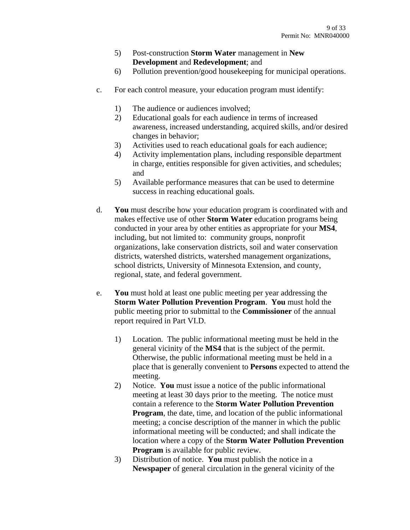- 5) Post-construction **Storm Water** management in **New Development** and **Redevelopment**; and
- 6) Pollution prevention/good housekeeping for municipal operations.
- c. For each control measure, your education program must identify:
	- 1) The audience or audiences involved;
	- 2) Educational goals for each audience in terms of increased awareness, increased understanding, acquired skills, and/or desired changes in behavior;
	- 3) Activities used to reach educational goals for each audience;
	- 4) Activity implementation plans, including responsible department in charge, entities responsible for given activities, and schedules; and
	- 5) Available performance measures that can be used to determine success in reaching educational goals.
- d. **You** must describe how your education program is coordinated with and makes effective use of other **Storm Water** education programs being conducted in your area by other entities as appropriate for your **MS4**, including, but not limited to: community groups, nonprofit organizations, lake conservation districts, soil and water conservation districts, watershed districts, watershed management organizations, school districts, University of Minnesota Extension, and county, regional, state, and federal government.
- e. **You** must hold at least one public meeting per year addressing the **Storm Water Pollution Prevention Program**. **You** must hold the public meeting prior to submittal to the **Commissioner** of the annual report required in Part VI.D.
	- 1) Location. The public informational meeting must be held in the general vicinity of the **MS4** that is the subject of the permit. Otherwise, the public informational meeting must be held in a place that is generally convenient to **Persons** expected to attend the meeting.
	- 2) Notice. **You** must issue a notice of the public informational meeting at least 30 days prior to the meeting. The notice must contain a reference to the **Storm Water Pollution Prevention Program**, the date, time, and location of the public informational meeting; a concise description of the manner in which the public informational meeting will be conducted; and shall indicate the location where a copy of the **Storm Water Pollution Prevention Program** is available for public review.
	- 3) Distribution of notice. **You** must publish the notice in a **Newspaper** of general circulation in the general vicinity of the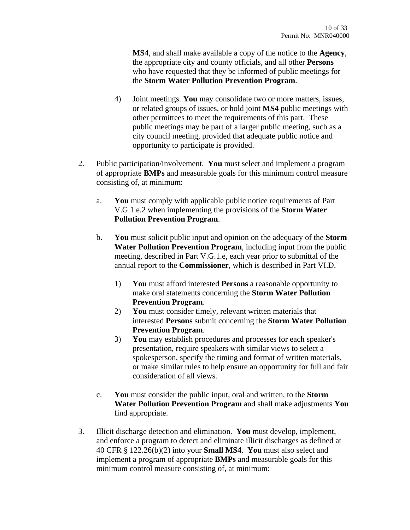**MS4**, and shall make available a copy of the notice to the **Agency**, the appropriate city and county officials, and all other **Persons** who have requested that they be informed of public meetings for the **Storm Water Pollution Prevention Program**.

- 4) Joint meetings. **You** may consolidate two or more matters, issues, or related groups of issues, or hold joint **MS4** public meetings with other permittees to meet the requirements of this part. These public meetings may be part of a larger public meeting, such as a city council meeting, provided that adequate public notice and opportunity to participate is provided.
- 2. Public participation/involvement. **You** must select and implement a program of appropriate **BMPs** and measurable goals for this minimum control measure consisting of, at minimum:
	- a. **You** must comply with applicable public notice requirements of Part V.G.1.e.2 when implementing the provisions of the **Storm Water Pollution Prevention Program**.
	- b. **You** must solicit public input and opinion on the adequacy of the **Storm Water Pollution Prevention Program**, including input from the public meeting, described in Part V.G.1.e, each year prior to submittal of the annual report to the **Commissioner**, which is described in Part VI.D.
		- 1) **You** must afford interested **Persons** a reasonable opportunity to make oral statements concerning the **Storm Water Pollution Prevention Program**.
		- 2) **You** must consider timely, relevant written materials that interested **Persons** submit concerning the **Storm Water Pollution Prevention Program**.
		- 3) **You** may establish procedures and processes for each speaker's presentation, require speakers with similar views to select a spokesperson, specify the timing and format of written materials, or make similar rules to help ensure an opportunity for full and fair consideration of all views.
	- c. **You** must consider the public input, oral and written, to the **Storm Water Pollution Prevention Program** and shall make adjustments **You** find appropriate.
- 3. Illicit discharge detection and elimination. **You** must develop, implement, and enforce a program to detect and eliminate illicit discharges as defined at 40 CFR § 122.26(b)(2) into your **Small MS4**. **You** must also select and implement a program of appropriate **BMPs** and measurable goals for this minimum control measure consisting of, at minimum: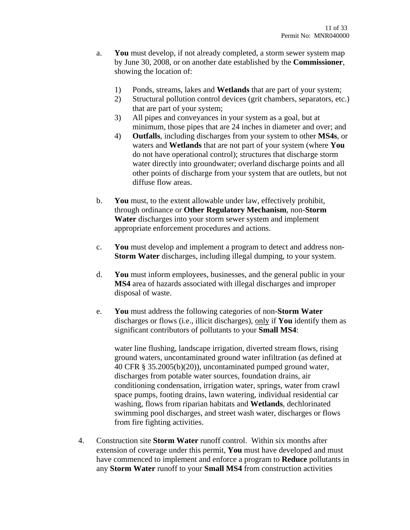- a. **You** must develop, if not already completed, a storm sewer system map by June 30, 2008, or on another date established by the **Commissioner**, showing the location of:
	- 1) Ponds, streams, lakes and **Wetlands** that are part of your system;
	- 2) Structural pollution control devices (grit chambers, separators, etc.) that are part of your system;
	- 3) All pipes and conveyances in your system as a goal, but at minimum, those pipes that are 24 inches in diameter and over; and
	- 4) **Outfalls**, including discharges from your system to other **MS4s**, or waters and **Wetlands** that are not part of your system (where **You**  do not have operational control); structures that discharge storm water directly into groundwater; overland discharge points and all other points of discharge from your system that are outlets, but not diffuse flow areas.
- b. **You** must, to the extent allowable under law, effectively prohibit, through ordinance or **Other Regulatory Mechanism**, non-**Storm Water** discharges into your storm sewer system and implement appropriate enforcement procedures and actions.
- c. **You** must develop and implement a program to detect and address non-**Storm Water** discharges, including illegal dumping, to your system.
- d. **You** must inform employees, businesses, and the general public in your **MS4** area of hazards associated with illegal discharges and improper disposal of waste.
- e. **You** must address the following categories of non-**Storm Water** discharges or flows (i.e., illicit discharges), only if **You** identify them as significant contributors of pollutants to your **Small MS4**:

water line flushing, landscape irrigation, diverted stream flows, rising ground waters, uncontaminated ground water infiltration (as defined at 40 CFR § 35.2005(b)(20)), uncontaminated pumped ground water, discharges from potable water sources, foundation drains, air conditioning condensation, irrigation water, springs, water from crawl space pumps, footing drains, lawn watering, individual residential car washing, flows from riparian habitats and **Wetlands**, dechlorinated swimming pool discharges, and street wash water, discharges or flows from fire fighting activities.

4. Construction site **Storm Water** runoff control. Within six months after extension of coverage under this permit, **You** must have developed and must have commenced to implement and enforce a program to **Reduce** pollutants in any **Storm Water** runoff to your **Small MS4** from construction activities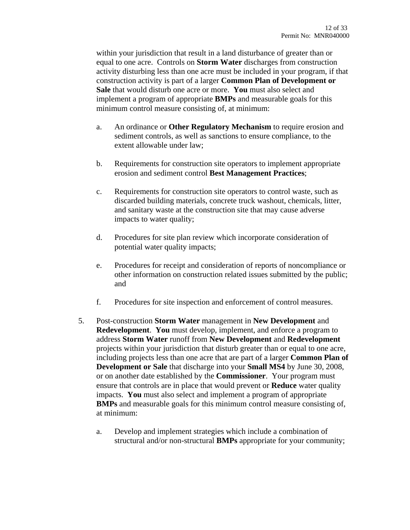within your jurisdiction that result in a land disturbance of greater than or equal to one acre. Controls on **Storm Water** discharges from construction activity disturbing less than one acre must be included in your program, if that construction activity is part of a larger **Common Plan of Development or Sale** that would disturb one acre or more. **You** must also select and implement a program of appropriate **BMPs** and measurable goals for this minimum control measure consisting of, at minimum:

- a. An ordinance or **Other Regulatory Mechanism** to require erosion and sediment controls, as well as sanctions to ensure compliance, to the extent allowable under law;
- b. Requirements for construction site operators to implement appropriate erosion and sediment control **Best Management Practices**;
- c. Requirements for construction site operators to control waste, such as discarded building materials, concrete truck washout, chemicals, litter, and sanitary waste at the construction site that may cause adverse impacts to water quality;
- d. Procedures for site plan review which incorporate consideration of potential water quality impacts;
- e. Procedures for receipt and consideration of reports of noncompliance or other information on construction related issues submitted by the public; and
- f. Procedures for site inspection and enforcement of control measures.
- 5. Post-construction **Storm Water** management in **New Development** and **Redevelopment**. **You** must develop, implement, and enforce a program to address **Storm Water** runoff from **New Development** and **Redevelopment** projects within your jurisdiction that disturb greater than or equal to one acre, including projects less than one acre that are part of a larger **Common Plan of Development or Sale** that discharge into your **Small MS4** by June 30, 2008, or on another date established by the **Commissioner**. Your program must ensure that controls are in place that would prevent or **Reduce** water quality impacts. **You** must also select and implement a program of appropriate **BMPs** and measurable goals for this minimum control measure consisting of, at minimum:
	- a. Develop and implement strategies which include a combination of structural and/or non-structural **BMPs** appropriate for your community;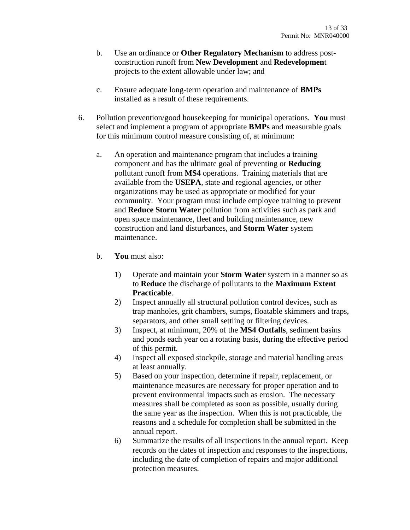- b. Use an ordinance or **Other Regulatory Mechanism** to address postconstruction runoff from **New Development** and **Redevelopmen**t projects to the extent allowable under law; and
- c. Ensure adequate long-term operation and maintenance of **BMPs** installed as a result of these requirements.
- 6. Pollution prevention/good housekeeping for municipal operations. **You** must select and implement a program of appropriate **BMPs** and measurable goals for this minimum control measure consisting of, at minimum:
	- a. An operation and maintenance program that includes a training component and has the ultimate goal of preventing or **Reducing** pollutant runoff from **MS4** operations. Training materials that are available from the **USEPA**, state and regional agencies, or other organizations may be used as appropriate or modified for your community. Your program must include employee training to prevent and **Reduce Storm Water** pollution from activities such as park and open space maintenance, fleet and building maintenance, new construction and land disturbances, and **Storm Water** system maintenance.
	- b. **You** must also:
		- 1) Operate and maintain your **Storm Water** system in a manner so as to **Reduce** the discharge of pollutants to the **Maximum Extent Practicable**.
		- 2) Inspect annually all structural pollution control devices, such as trap manholes, grit chambers, sumps, floatable skimmers and traps, separators, and other small settling or filtering devices.
		- 3) Inspect, at minimum, 20% of the **MS4 Outfalls**, sediment basins and ponds each year on a rotating basis, during the effective period of this permit.
		- 4) Inspect all exposed stockpile, storage and material handling areas at least annually.
		- 5) Based on your inspection, determine if repair, replacement, or maintenance measures are necessary for proper operation and to prevent environmental impacts such as erosion. The necessary measures shall be completed as soon as possible, usually during the same year as the inspection. When this is not practicable, the reasons and a schedule for completion shall be submitted in the annual report.
		- 6) Summarize the results of all inspections in the annual report. Keep records on the dates of inspection and responses to the inspections, including the date of completion of repairs and major additional protection measures.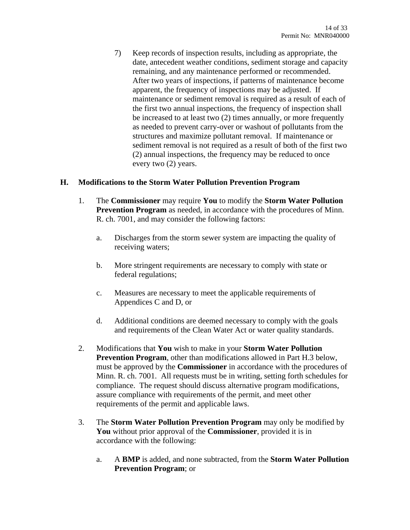7) Keep records of inspection results, including as appropriate, the date, antecedent weather conditions, sediment storage and capacity remaining, and any maintenance performed or recommended. After two years of inspections, if patterns of maintenance become apparent, the frequency of inspections may be adjusted. If maintenance or sediment removal is required as a result of each of the first two annual inspections, the frequency of inspection shall be increased to at least two (2) times annually, or more frequently as needed to prevent carry-over or washout of pollutants from the structures and maximize pollutant removal. If maintenance or sediment removal is not required as a result of both of the first two (2) annual inspections, the frequency may be reduced to once every two (2) years.

#### **H. Modifications to the Storm Water Pollution Prevention Program**

- 1. The **Commissioner** may require **You** to modify the **Storm Water Pollution Prevention Program** as needed, in accordance with the procedures of Minn. R. ch. 7001, and may consider the following factors:
	- a. Discharges from the storm sewer system are impacting the quality of receiving waters;
	- b. More stringent requirements are necessary to comply with state or federal regulations;
	- c. Measures are necessary to meet the applicable requirements of Appendices C and D, or
	- d. Additional conditions are deemed necessary to comply with the goals and requirements of the Clean Water Act or water quality standards.
- 2. Modifications that **You** wish to make in your **Storm Water Pollution Prevention Program**, other than modifications allowed in Part H.3 below, must be approved by the **Commissioner** in accordance with the procedures of Minn. R. ch. 7001. All requests must be in writing, setting forth schedules for compliance. The request should discuss alternative program modifications, assure compliance with requirements of the permit, and meet other requirements of the permit and applicable laws.
- 3. The **Storm Water Pollution Prevention Program** may only be modified by **You** without prior approval of the **Commissioner**, provided it is in accordance with the following:
	- a. A **BMP** is added, and none subtracted, from the **Storm Water Pollution Prevention Program**; or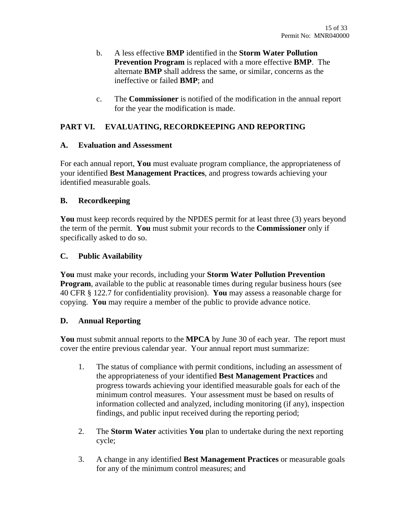- b. A less effective **BMP** identified in the **Storm Water Pollution Prevention Program** is replaced with a more effective **BMP**. The alternate **BMP** shall address the same, or similar, concerns as the ineffective or failed **BMP**; and
- c. The **Commissioner** is notified of the modification in the annual report for the year the modification is made.

# **PART VI. EVALUATING, RECORDKEEPING AND REPORTING**

#### **A. Evaluation and Assessment**

For each annual report, **You** must evaluate program compliance, the appropriateness of your identified **Best Management Practices**, and progress towards achieving your identified measurable goals.

#### **B. Recordkeeping**

**You** must keep records required by the NPDES permit for at least three (3) years beyond the term of the permit. **You** must submit your records to the **Commissioner** only if specifically asked to do so.

## **C. Public Availability**

**You** must make your records, including your **Storm Water Pollution Prevention Program**, available to the public at reasonable times during regular business hours (see 40 CFR § 122.7 for confidentiality provision). **You** may assess a reasonable charge for copying. **You** may require a member of the public to provide advance notice.

## **D. Annual Reporting**

**You** must submit annual reports to the **MPCA** by June 30 of each year. The report must cover the entire previous calendar year. Your annual report must summarize:

- 1. The status of compliance with permit conditions, including an assessment of the appropriateness of your identified **Best Management Practices** and progress towards achieving your identified measurable goals for each of the minimum control measures. Your assessment must be based on results of information collected and analyzed, including monitoring (if any), inspection findings, and public input received during the reporting period;
- 2. The **Storm Water** activities **You** plan to undertake during the next reporting cycle;
- 3. A change in any identified **Best Management Practices** or measurable goals for any of the minimum control measures; and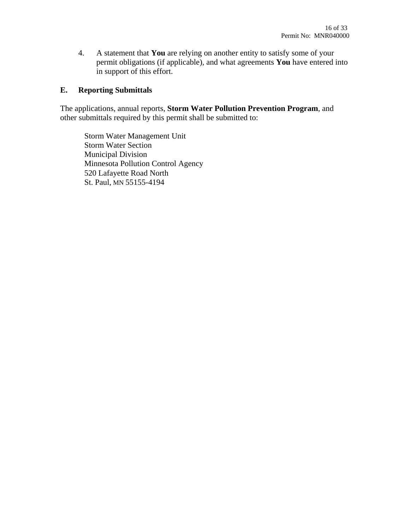4. A statement that **You** are relying on another entity to satisfy some of your permit obligations (if applicable), and what agreements **You** have entered into in support of this effort.

## **E. Reporting Submittals**

The applications, annual reports, **Storm Water Pollution Prevention Program**, and other submittals required by this permit shall be submitted to:

Storm Water Management Unit Storm Water Section Municipal Division Minnesota Pollution Control Agency 520 Lafayette Road North St. Paul, MN 55155-4194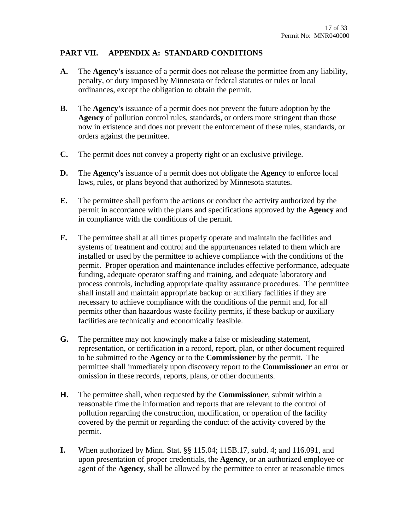# **PART VII. APPENDIX A: STANDARD CONDITIONS**

- **A.** The **Agency's** issuance of a permit does not release the permittee from any liability, penalty, or duty imposed by Minnesota or federal statutes or rules or local ordinances, except the obligation to obtain the permit.
- **B.** The **Agency's** issuance of a permit does not prevent the future adoption by the **Agency** of pollution control rules, standards, or orders more stringent than those now in existence and does not prevent the enforcement of these rules, standards, or orders against the permittee.
- **C.** The permit does not convey a property right or an exclusive privilege.
- **D.** The **Agency's** issuance of a permit does not obligate the **Agency** to enforce local laws, rules, or plans beyond that authorized by Minnesota statutes.
- **E.** The permittee shall perform the actions or conduct the activity authorized by the permit in accordance with the plans and specifications approved by the **Agency** and in compliance with the conditions of the permit.
- **F.** The permittee shall at all times properly operate and maintain the facilities and systems of treatment and control and the appurtenances related to them which are installed or used by the permittee to achieve compliance with the conditions of the permit. Proper operation and maintenance includes effective performance, adequate funding, adequate operator staffing and training, and adequate laboratory and process controls, including appropriate quality assurance procedures. The permittee shall install and maintain appropriate backup or auxiliary facilities if they are necessary to achieve compliance with the conditions of the permit and, for all permits other than hazardous waste facility permits, if these backup or auxiliary facilities are technically and economically feasible.
- **G.** The permittee may not knowingly make a false or misleading statement, representation, or certification in a record, report, plan, or other document required to be submitted to the **Agency** or to the **Commissioner** by the permit. The permittee shall immediately upon discovery report to the **Commissioner** an error or omission in these records, reports, plans, or other documents.
- **H.** The permittee shall, when requested by the **Commissioner**, submit within a reasonable time the information and reports that are relevant to the control of pollution regarding the construction, modification, or operation of the facility covered by the permit or regarding the conduct of the activity covered by the permit.
- **I.** When authorized by Minn. Stat. §§ 115.04; 115B.17, subd. 4; and 116.091, and upon presentation of proper credentials, the **Agency**, or an authorized employee or agent of the **Agency**, shall be allowed by the permittee to enter at reasonable times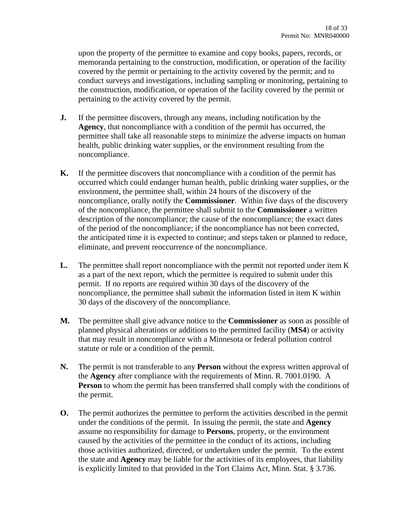upon the property of the permittee to examine and copy books, papers, records, or memoranda pertaining to the construction, modification, or operation of the facility covered by the permit or pertaining to the activity covered by the permit; and to conduct surveys and investigations, including sampling or monitoring, pertaining to the construction, modification, or operation of the facility covered by the permit or pertaining to the activity covered by the permit.

- **J.** If the permittee discovers, through any means, including notification by the **Agency**, that noncompliance with a condition of the permit has occurred, the permittee shall take all reasonable steps to minimize the adverse impacts on human health, public drinking water supplies, or the environment resulting from the noncompliance.
- **K.** If the permittee discovers that noncompliance with a condition of the permit has occurred which could endanger human health, public drinking water supplies, or the environment, the permittee shall, within 24 hours of the discovery of the noncompliance, orally notify the **Commissioner**. Within five days of the discovery of the noncompliance, the permittee shall submit to the **Commissioner** a written description of the noncompliance; the cause of the noncompliance; the exact dates of the period of the noncompliance; if the noncompliance has not been corrected, the anticipated time it is expected to continue; and steps taken or planned to reduce, eliminate, and prevent reoccurrence of the noncompliance.
- **L.** The permittee shall report noncompliance with the permit not reported under item K as a part of the next report, which the permittee is required to submit under this permit. If no reports are required within 30 days of the discovery of the noncompliance, the permittee shall submit the information listed in item K within 30 days of the discovery of the noncompliance.
- **M.** The permittee shall give advance notice to the **Commissioner** as soon as possible of planned physical alterations or additions to the permitted facility (**MS4**) or activity that may result in noncompliance with a Minnesota or federal pollution control statute or rule or a condition of the permit.
- **N.** The permit is not transferable to any **Person** without the express written approval of the **Agency** after compliance with the requirements of Minn. R. 7001.0190. A **Person** to whom the permit has been transferred shall comply with the conditions of the permit.
- **O.** The permit authorizes the permittee to perform the activities described in the permit under the conditions of the permit. In issuing the permit, the state and **Agency** assume no responsibility for damage to **Persons**, property, or the environment caused by the activities of the permittee in the conduct of its actions, including those activities authorized, directed, or undertaken under the permit. To the extent the state and **Agency** may be liable for the activities of its employees, that liability is explicitly limited to that provided in the Tort Claims Act, Minn. Stat. § 3.736.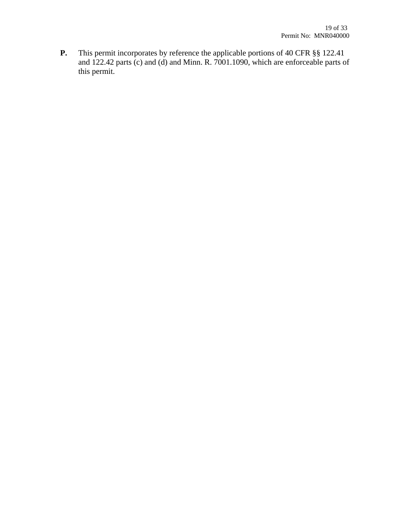**P.** This permit incorporates by reference the applicable portions of 40 CFR §§ 122.41 and 122.42 parts (c) and (d) and Minn. R. 7001.1090, which are enforceable parts of this permit.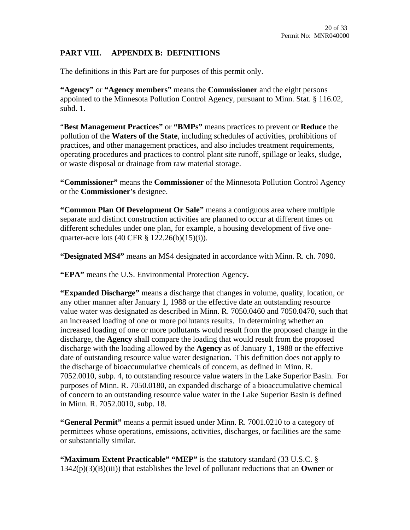## **PART VIII. APPENDIX B: DEFINITIONS**

The definitions in this Part are for purposes of this permit only.

**"Agency"** or **"Agency members"** means the **Commissioner** and the eight persons appointed to the Minnesota Pollution Control Agency, pursuant to Minn. Stat. § 116.02, subd. 1.

"**Best Management Practices"** or **"BMPs"** means practices to prevent or **Reduce** the pollution of the **Waters of the State**, including schedules of activities, prohibitions of practices, and other management practices, and also includes treatment requirements, operating procedures and practices to control plant site runoff, spillage or leaks, sludge, or waste disposal or drainage from raw material storage.

**"Commissioner"** means the **Commissioner** of the Minnesota Pollution Control Agency or the **Commissioner's** designee.

**"Common Plan Of Development Or Sale"** means a contiguous area where multiple separate and distinct construction activities are planned to occur at different times on different schedules under one plan, for example, a housing development of five onequarter-acre lots (40 CFR § 122.26(b)(15)(i)).

**"Designated MS4"** means an MS4 designated in accordance with Minn. R. ch. 7090.

**"EPA"** means the U.S. Environmental Protection Agency**.** 

**"Expanded Discharge"** means a discharge that changes in volume, quality, location, or any other manner after January 1, 1988 or the effective date an outstanding resource value water was designated as described in Minn. R. 7050.0460 and 7050.0470, such that an increased loading of one or more pollutants results. In determining whether an increased loading of one or more pollutants would result from the proposed change in the discharge, the **Agency** shall compare the loading that would result from the proposed discharge with the loading allowed by the **Agency** as of January 1, 1988 or the effective date of outstanding resource value water designation. This definition does not apply to the discharge of bioaccumulative chemicals of concern, as defined in Minn. R. 7052.0010, subp. 4, to outstanding resource value waters in the Lake Superior Basin. For purposes of Minn. R. 7050.0180, an expanded discharge of a bioaccumulative chemical of concern to an outstanding resource value water in the Lake Superior Basin is defined in Minn. R. 7052.0010, subp. 18.

**"General Permit"** means a permit issued under Minn. R. 7001.0210 to a category of permittees whose operations, emissions, activities, discharges, or facilities are the same or substantially similar.

**"Maximum Extent Practicable" "MEP"** is the statutory standard (33 U.S.C. § 1342(p)(3)(B)(iii)) that establishes the level of pollutant reductions that an **Owner** or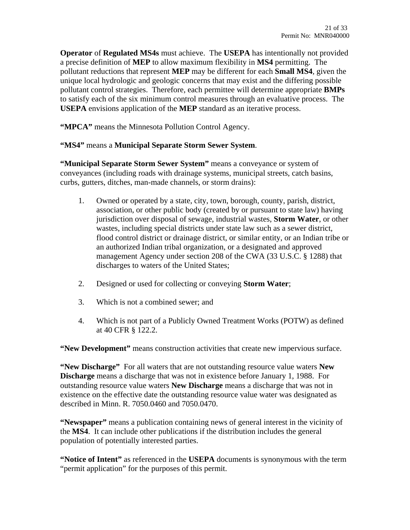**Operator** of **Regulated MS4s** must achieve. The **USEPA** has intentionally not provided a precise definition of **MEP** to allow maximum flexibility in **MS4** permitting. The pollutant reductions that represent **MEP** may be different for each **Small MS4**, given the unique local hydrologic and geologic concerns that may exist and the differing possible pollutant control strategies. Therefore, each permittee will determine appropriate **BMPs** to satisfy each of the six minimum control measures through an evaluative process. The **USEPA** envisions application of the **MEP** standard as an iterative process.

**"MPCA"** means the Minnesota Pollution Control Agency.

## **"MS4"** means a **Municipal Separate Storm Sewer System**.

**"Municipal Separate Storm Sewer System"** means a conveyance or system of conveyances (including roads with drainage systems, municipal streets, catch basins, curbs, gutters, ditches, man-made channels, or storm drains):

- 1. Owned or operated by a state, city, town, borough, county, parish, district, association, or other public body (created by or pursuant to state law) having jurisdiction over disposal of sewage, industrial wastes, **Storm Water**, or other wastes, including special districts under state law such as a sewer district, flood control district or drainage district, or similar entity, or an Indian tribe or an authorized Indian tribal organization, or a designated and approved management Agency under section 208 of the CWA (33 U.S.C. § 1288) that discharges to waters of the United States;
- 2. Designed or used for collecting or conveying **Storm Water**;
- 3. Which is not a combined sewer; and
- 4. Which is not part of a Publicly Owned Treatment Works (POTW) as defined at 40 CFR § 122.2.

**"New Development"** means construction activities that create new impervious surface.

**"New Discharge"** For all waters that are not outstanding resource value waters **New Discharge** means a discharge that was not in existence before January 1, 1988. For outstanding resource value waters **New Discharge** means a discharge that was not in existence on the effective date the outstanding resource value water was designated as described in Minn. R. 7050.0460 and 7050.0470.

**"Newspaper"** means a publication containing news of general interest in the vicinity of the **MS4**. It can include other publications if the distribution includes the general population of potentially interested parties.

**"Notice of Intent"** as referenced in the **USEPA** documents is synonymous with the term "permit application" for the purposes of this permit.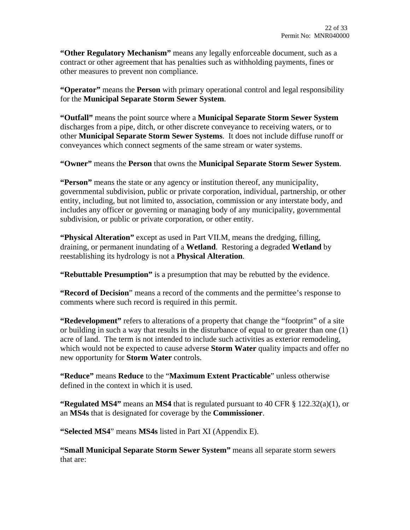**"Other Regulatory Mechanism"** means any legally enforceable document, such as a contract or other agreement that has penalties such as withholding payments, fines or other measures to prevent non compliance.

**"Operator"** means the **Person** with primary operational control and legal responsibility for the **Municipal Separate Storm Sewer System**.

**"Outfall"** means the point source where a **Municipal Separate Storm Sewer System** discharges from a pipe, ditch, or other discrete conveyance to receiving waters, or to other **Municipal Separate Storm Sewer Systems**. It does not include diffuse runoff or conveyances which connect segments of the same stream or water systems.

**"Owner"** means the **Person** that owns the **Municipal Separate Storm Sewer System**.

**"Person"** means the state or any agency or institution thereof, any municipality, governmental subdivision, public or private corporation, individual, partnership, or other entity, including, but not limited to, association, commission or any interstate body, and includes any officer or governing or managing body of any municipality, governmental subdivision, or public or private corporation, or other entity.

**"Physical Alteration"** except as used in Part VII.M, means the dredging, filling, draining, or permanent inundating of a **Wetland**. Restoring a degraded **Wetland** by reestablishing its hydrology is not a **Physical Alteration**.

**"Rebuttable Presumption"** is a presumption that may be rebutted by the evidence.

**"Record of Decision**" means a record of the comments and the permittee's response to comments where such record is required in this permit.

**"Redevelopment"** refers to alterations of a property that change the "footprint" of a site or building in such a way that results in the disturbance of equal to or greater than one (1) acre of land. The term is not intended to include such activities as exterior remodeling, which would not be expected to cause adverse **Storm Water** quality impacts and offer no new opportunity for **Storm Water** controls.

**"Reduce"** means **Reduce** to the "**Maximum Extent Practicable**" unless otherwise defined in the context in which it is used.

**"Regulated MS4"** means an **MS4** that is regulated pursuant to 40 CFR § 122.32(a)(1), or an **MS4s** that is designated for coverage by the **Commissioner**.

**"Selected MS4**" means **MS4s** listed in Part XI (Appendix E).

**"Small Municipal Separate Storm Sewer System"** means all separate storm sewers that are: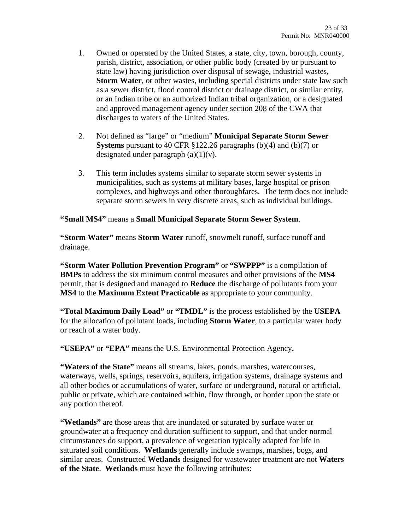- 1. Owned or operated by the United States, a state, city, town, borough, county, parish, district, association, or other public body (created by or pursuant to state law) having jurisdiction over disposal of sewage, industrial wastes, **Storm Water**, or other wastes, including special districts under state law such as a sewer district, flood control district or drainage district, or similar entity, or an Indian tribe or an authorized Indian tribal organization, or a designated and approved management agency under section 208 of the CWA that discharges to waters of the United States.
- 2. Not defined as "large" or "medium" **Municipal Separate Storm Sewer Systems** pursuant to 40 CFR §122.26 paragraphs (b)(4) and (b)(7) or designated under paragraph  $(a)(1)(v)$ .
- 3. This term includes systems similar to separate storm sewer systems in municipalities, such as systems at military bases, large hospital or prison complexes, and highways and other thoroughfares. The term does not include separate storm sewers in very discrete areas, such as individual buildings.

#### **"Small MS4"** means a **Small Municipal Separate Storm Sewer System**.

**"Storm Water"** means **Storm Water** runoff, snowmelt runoff, surface runoff and drainage.

**"Storm Water Pollution Prevention Program"** or **"SWPPP"** is a compilation of **BMPs** to address the six minimum control measures and other provisions of the **MS4** permit, that is designed and managed to **Reduce** the discharge of pollutants from your **MS4** to the **Maximum Extent Practicable** as appropriate to your community.

**"Total Maximum Daily Load"** or **"TMDL"** is the process established by the **USEPA** for the allocation of pollutant loads, including **Storm Water**, to a particular water body or reach of a water body.

**"USEPA"** or **"EPA"** means the U.S. Environmental Protection Agency**.** 

**"Waters of the State"** means all streams, lakes, ponds, marshes, watercourses, waterways, wells, springs, reservoirs, aquifers, irrigation systems, drainage systems and all other bodies or accumulations of water, surface or underground, natural or artificial, public or private, which are contained within, flow through, or border upon the state or any portion thereof.

**"Wetlands"** are those areas that are inundated or saturated by surface water or groundwater at a frequency and duration sufficient to support, and that under normal circumstances do support, a prevalence of vegetation typically adapted for life in saturated soil conditions. **Wetlands** generally include swamps, marshes, bogs, and similar areas. Constructed **Wetlands** designed for wastewater treatment are not **Waters of the State**. **Wetlands** must have the following attributes: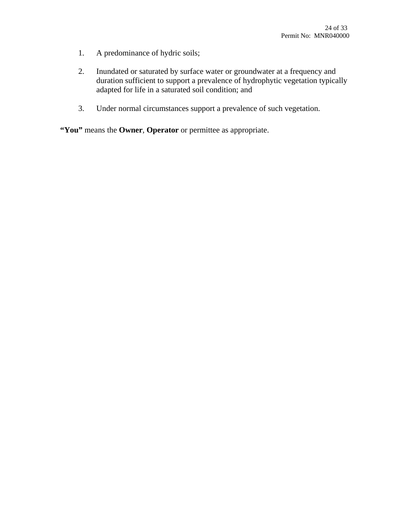- 1. A predominance of hydric soils;
- 2. Inundated or saturated by surface water or groundwater at a frequency and duration sufficient to support a prevalence of hydrophytic vegetation typically adapted for life in a saturated soil condition; and
- 3. Under normal circumstances support a prevalence of such vegetation.

**"You"** means the **Owner**, **Operator** or permittee as appropriate.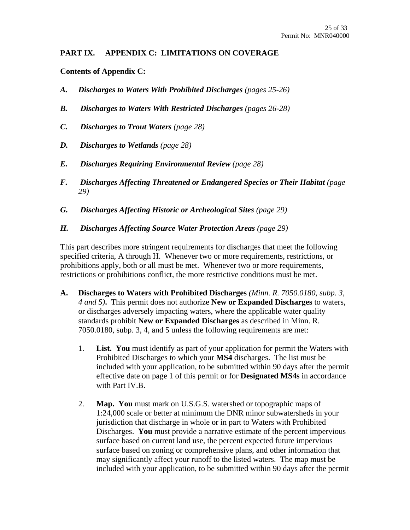## **PART IX. APPENDIX C: LIMITATIONS ON COVERAGE**

**Contents of Appendix C:** 

- *A. Discharges to Waters With Prohibited Discharges (pages 25-26)*
- *B. Discharges to Waters With Restricted Discharges (pages 26-28)*
- *C. Discharges to Trout Waters (page 28)*
- *D. Discharges to Wetlands (page 28)*
- *E. Discharges Requiring Environmental Review (page 28)*
- *F. Discharges Affecting Threatened or Endangered Species or Their Habitat (page 29)*
- *G. Discharges Affecting Historic or Archeological Sites (page 29)*
- *H. Discharges Affecting Source Water Protection Areas (page 29)*

This part describes more stringent requirements for discharges that meet the following specified criteria, A through H. Whenever two or more requirements, restrictions, or prohibitions apply, both or all must be met. Whenever two or more requirements, restrictions or prohibitions conflict, the more restrictive conditions must be met.

- **A. Discharges to Waters with Prohibited Discharges** *(Minn. R. 7050.0180, subp. 3, 4 and 5)***.** This permit does not authorize **New or Expanded Discharges** to waters, or discharges adversely impacting waters, where the applicable water quality standards prohibit **New or Expanded Discharges** as described in Minn. R. 7050.0180, subp. 3, 4, and 5 unless the following requirements are met:
	- 1. **List. You** must identify as part of your application for permit the Waters with Prohibited Discharges to which your **MS4** discharges. The list must be included with your application, to be submitted within 90 days after the permit effective date on page 1 of this permit or for **Designated MS4s** in accordance with Part IV.B.
	- 2. **Map. You** must mark on U.S.G.S. watershed or topographic maps of 1:24,000 scale or better at minimum the DNR minor subwatersheds in your jurisdiction that discharge in whole or in part to Waters with Prohibited Discharges. **You** must provide a narrative estimate of the percent impervious surface based on current land use, the percent expected future impervious surface based on zoning or comprehensive plans, and other information that may significantly affect your runoff to the listed waters. The map must be included with your application, to be submitted within 90 days after the permit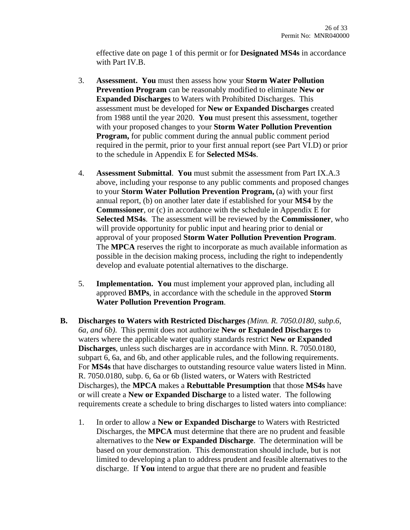effective date on page 1 of this permit or for **Designated MS4s** in accordance with Part IV.B.

- 3. **Assessment. You** must then assess how your **Storm Water Pollution Prevention Program** can be reasonably modified to eliminate **New or Expanded Discharges** to Waters with Prohibited Discharges. This assessment must be developed for **New or Expanded Discharges** created from 1988 until the year 2020. **You** must present this assessment, together with your proposed changes to your **Storm Water Pollution Prevention Program,** for public comment during the annual public comment period required in the permit, prior to your first annual report (see Part VI.D) or prior to the schedule in Appendix E for **Selected MS4s**.
- 4. **Assessment Submittal**. **You** must submit the assessment from Part IX.A.3 above, including your response to any public comments and proposed changes to your **Storm Water Pollution Prevention Program,** (a) with your first annual report, (b) on another later date if established for your **MS4** by the **Commssioner**, or (c) in accordance with the schedule in Appendix E for **Selected MS4s**. The assessment will be reviewed by the **Commissioner**, who will provide opportunity for public input and hearing prior to denial or approval of your proposed **Storm Water Pollution Prevention Program**. The **MPCA** reserves the right to incorporate as much available information as possible in the decision making process, including the right to independently develop and evaluate potential alternatives to the discharge.
- 5. **Implementation. You** must implement your approved plan, including all approved **BMPs**, in accordance with the schedule in the approved **Storm Water Pollution Prevention Program**.
- **B. Discharges to Waters with Restricted Discharges** *(Minn. R. 7050.0180, subp.6, 6a, and 6b)*. This permit does not authorize **New or Expanded Discharges** to waters where the applicable water quality standards restrict **New or Expanded Discharges**, unless such discharges are in accordance with Minn. R. 7050.0180, subpart 6, 6a, and 6b, and other applicable rules, and the following requirements. For **MS4s** that have discharges to outstanding resource value waters listed in Minn. R. 7050.0180, subp. 6, 6a or 6b (listed waters, or Waters with Restricted Discharges), the **MPCA** makes a **Rebuttable Presumption** that those **MS4s** have or will create a **New or Expanded Discharge** to a listed water. The following requirements create a schedule to bring discharges to listed waters into compliance:
	- 1. In order to allow a **New or Expanded Discharge** to Waters with Restricted Discharges, the **MPCA** must determine that there are no prudent and feasible alternatives to the **New or Expanded Discharge**. The determination will be based on your demonstration. This demonstration should include, but is not limited to developing a plan to address prudent and feasible alternatives to the discharge. If **You** intend to argue that there are no prudent and feasible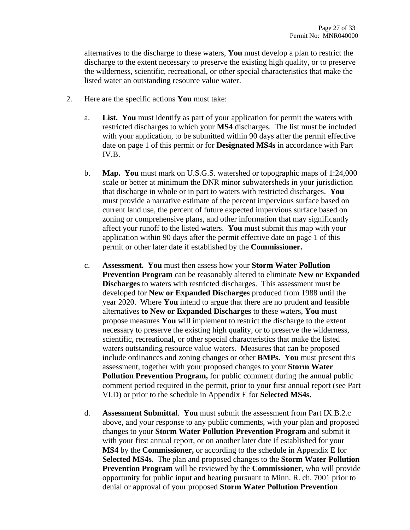alternatives to the discharge to these waters, **You** must develop a plan to restrict the discharge to the extent necessary to preserve the existing high quality, or to preserve the wilderness, scientific, recreational, or other special characteristics that make the listed water an outstanding resource value water.

- 2. Here are the specific actions **You** must take:
	- a. **List. You** must identify as part of your application for permit the waters with restricted discharges to which your **MS4** discharges. The list must be included with your application, to be submitted within 90 days after the permit effective date on page 1 of this permit or for **Designated MS4s** in accordance with Part IV.B.
	- b. **Map. You** must mark on U.S.G.S. watershed or topographic maps of 1:24,000 scale or better at minimum the DNR minor subwatersheds in your jurisdiction that discharge in whole or in part to waters with restricted discharges. **You** must provide a narrative estimate of the percent impervious surface based on current land use, the percent of future expected impervious surface based on zoning or comprehensive plans, and other information that may significantly affect your runoff to the listed waters. **You** must submit this map with your application within 90 days after the permit effective date on page 1 of this permit or other later date if established by the **Commissioner.**
	- c. **Assessment. You** must then assess how your **Storm Water Pollution Prevention Program** can be reasonably altered to eliminate **New or Expanded Discharges** to waters with restricted discharges. This assessment must be developed for **New or Expanded Discharges** produced from 1988 until the year 2020. Where **You** intend to argue that there are no prudent and feasible alternatives **to New or Expanded Discharges** to these waters, **You** must propose measures **You** will implement to restrict the discharge to the extent necessary to preserve the existing high quality, or to preserve the wilderness, scientific, recreational, or other special characteristics that make the listed waters outstanding resource value waters. Measures that can be proposed include ordinances and zoning changes or other **BMPs. You** must present this assessment, together with your proposed changes to your **Storm Water Pollution Prevention Program,** for public comment during the annual public comment period required in the permit, prior to your first annual report (see Part VI.D) or prior to the schedule in Appendix E for **Selected MS4s.**
	- d. **Assessment Submittal**. **You** must submit the assessment from Part IX.B.2.c above, and your response to any public comments, with your plan and proposed changes to your **Storm Water Pollution Prevention Program** and submit it with your first annual report, or on another later date if established for your **MS4** by the **Commissioner,** or according to the schedule in Appendix E for **Selected MS4s**. The plan and proposed changes to the **Storm Water Pollution Prevention Program** will be reviewed by the **Commissioner**, who will provide opportunity for public input and hearing pursuant to Minn. R. ch. 7001 prior to denial or approval of your proposed **Storm Water Pollution Prevention**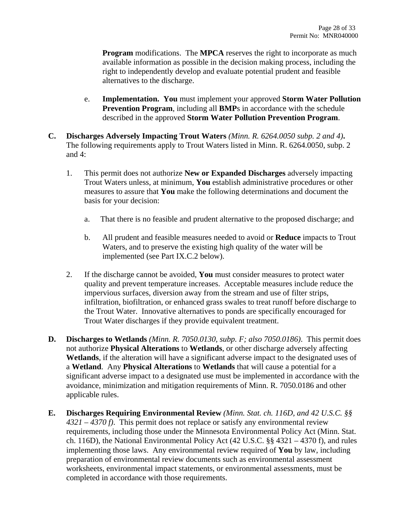**Program** modifications. The **MPCA** reserves the right to incorporate as much available information as possible in the decision making process, including the right to independently develop and evaluate potential prudent and feasible alternatives to the discharge.

- e. **Implementation. You** must implement your approved **Storm Water Pollution Prevention Program**, including all **BMP**s in accordance with the schedule described in the approved **Storm Water Pollution Prevention Program**.
- **C. Discharges Adversely Impacting Trout Waters** *(Minn. R. 6264.0050 subp. 2 and 4)***.**  The following requirements apply to Trout Waters listed in Minn. R. 6264.0050, subp. 2 and 4:
	- 1. This permit does not authorize **New or Expanded Discharges** adversely impacting Trout Waters unless, at minimum, **You** establish administrative procedures or other measures to assure that **You** make the following determinations and document the basis for your decision:
		- a. That there is no feasible and prudent alternative to the proposed discharge; and
		- b. All prudent and feasible measures needed to avoid or **Reduce** impacts to Trout Waters, and to preserve the existing high quality of the water will be implemented (see Part IX.C.2 below).
	- 2. If the discharge cannot be avoided, **You** must consider measures to protect water quality and prevent temperature increases. Acceptable measures include reduce the impervious surfaces, diversion away from the stream and use of filter strips, infiltration, biofiltration, or enhanced grass swales to treat runoff before discharge to the Trout Water. Innovative alternatives to ponds are specifically encouraged for Trout Water discharges if they provide equivalent treatment.
- **D. Discharges to Wetlands** *(Minn. R. 7050.0130, subp. F; also 7050.0186)*. This permit does not authorize **Physical Alterations** to **Wetlands**, or other discharge adversely affecting **Wetlands**, if the alteration will have a significant adverse impact to the designated uses of a **Wetland**. Any **Physical Alterations** to **Wetlands** that will cause a potential for a significant adverse impact to a designated use must be implemented in accordance with the avoidance, minimization and mitigation requirements of Minn. R. 7050.0186 and other applicable rules.
- **E. Discharges Requiring Environmental Review** *(Minn. Stat. ch. 116D, and 42 U.S.C. §§ 4321 – 4370 f)*. This permit does not replace or satisfy any environmental review requirements, including those under the Minnesota Environmental Policy Act (Minn. Stat. ch. 116D), the National Environmental Policy Act (42 U.S.C. §§ 4321 – 4370 f), and rules implementing those laws. Any environmental review required of **You** by law, including preparation of environmental review documents such as environmental assessment worksheets, environmental impact statements, or environmental assessments, must be completed in accordance with those requirements.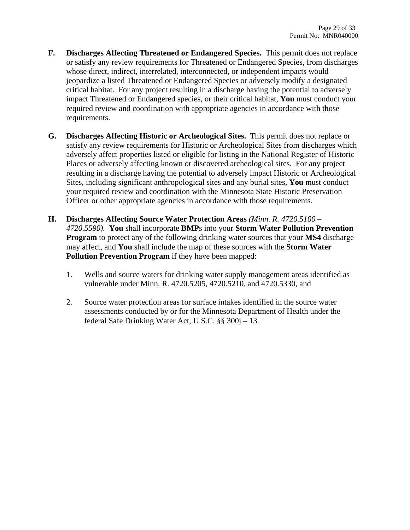- **F. Discharges Affecting Threatened or Endangered Species.** This permit does not replace or satisfy any review requirements for Threatened or Endangered Species, from discharges whose direct, indirect, interrelated, interconnected, or independent impacts would jeopardize a listed Threatened or Endangered Species or adversely modify a designated critical habitat. For any project resulting in a discharge having the potential to adversely impact Threatened or Endangered species, or their critical habitat, **You** must conduct your required review and coordination with appropriate agencies in accordance with those requirements.
- **G. Discharges Affecting Historic or Archeological Sites.** This permit does not replace or satisfy any review requirements for Historic or Archeological Sites from discharges which adversely affect properties listed or eligible for listing in the National Register of Historic Places or adversely affecting known or discovered archeological sites. For any project resulting in a discharge having the potential to adversely impact Historic or Archeological Sites, including significant anthropological sites and any burial sites, **You** must conduct your required review and coordination with the Minnesota State Historic Preservation Officer or other appropriate agencies in accordance with those requirements.
- **H. Discharges Affecting Source Water Protection Areas** *(Minn. R. 4720.5100 4720.5590).* **You** shall incorporate **BMP**s into your **Storm Water Pollution Prevention Program** to protect any of the following drinking water sources that your **MS4** discharge may affect, and **You** shall include the map of these sources with the **Storm Water Pollution Prevention Program** if they have been mapped:
	- 1. Wells and source waters for drinking water supply management areas identified as vulnerable under Minn. R. 4720.5205, 4720.5210, and 4720.5330, and
	- 2. Source water protection areas for surface intakes identified in the source water assessments conducted by or for the Minnesota Department of Health under the federal Safe Drinking Water Act, U.S.C. §§ 300j *–* 13.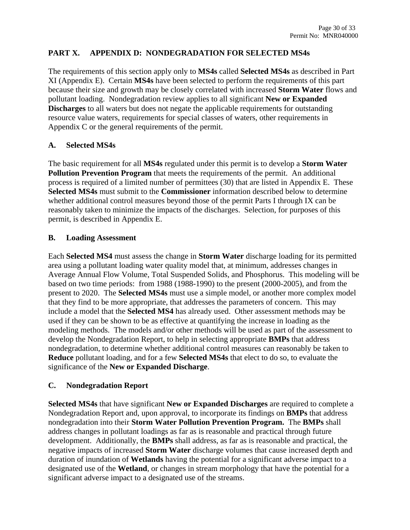## **PART X. APPENDIX D: NONDEGRADATION FOR SELECTED MS4s**

The requirements of this section apply only to **MS4s** called **Selected MS4s** as described in Part XI (Appendix E). Certain **MS4s** have been selected to perform the requirements of this part because their size and growth may be closely correlated with increased **Storm Water** flows and pollutant loading. Nondegradation review applies to all significant **New or Expanded Discharges** to all waters but does not negate the applicable requirements for outstanding resource value waters, requirements for special classes of waters, other requirements in Appendix C or the general requirements of the permit.

## **A. Selected MS4s**

The basic requirement for all **MS4s** regulated under this permit is to develop a **Storm Water Pollution Prevention Program** that meets the requirements of the permit. An additional process is required of a limited number of permittees (30) that are listed in Appendix E. These **Selected MS4s** must submit to the **Commissioner** information described below to determine whether additional control measures beyond those of the permit Parts I through IX can be reasonably taken to minimize the impacts of the discharges. Selection, for purposes of this permit, is described in Appendix E.

#### **B. Loading Assessment**

Each **Selected MS4** must assess the change in **Storm Water** discharge loading for its permitted area using a pollutant loading water quality model that, at minimum, addresses changes in Average Annual Flow Volume, Total Suspended Solids, and Phosphorus. This modeling will be based on two time periods: from 1988 (1988-1990) to the present (2000-2005), and from the present to 2020. The **Selected MS4s** must use a simple model, or another more complex model that they find to be more appropriate, that addresses the parameters of concern. This may include a model that the **Selected MS4** has already used. Other assessment methods may be used if they can be shown to be as effective at quantifying the increase in loading as the modeling methods. The models and/or other methods will be used as part of the assessment to develop the Nondegradation Report, to help in selecting appropriate **BMPs** that address nondegradation, to determine whether additional control measures can reasonably be taken to **Reduce** pollutant loading, and for a few **Selected MS4s** that elect to do so, to evaluate the significance of the **New or Expanded Discharge**.

## **C. Nondegradation Report**

**Selected MS4s** that have significant **New or Expanded Discharges** are required to complete a Nondegradation Report and, upon approval, to incorporate its findings on **BMPs** that address nondegradation into their **Storm Water Pollution Prevention Program.** The **BMPs** shall address changes in pollutant loadings as far as is reasonable and practical through future development. Additionally, the **BMPs** shall address, as far as is reasonable and practical, the negative impacts of increased **Storm Water** discharge volumes that cause increased depth and duration of inundation of **Wetlands** having the potential for a significant adverse impact to a designated use of the **Wetland**, or changes in stream morphology that have the potential for a significant adverse impact to a designated use of the streams.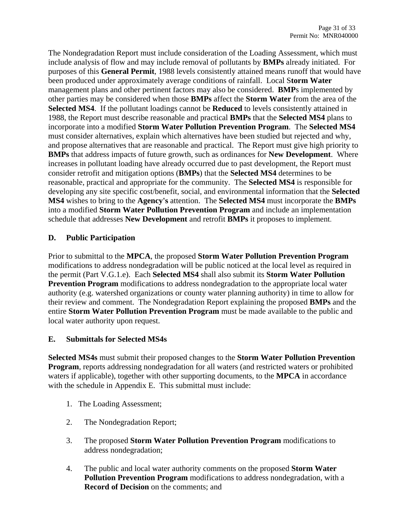The Nondegradation Report must include consideration of the Loading Assessment, which must include analysis of flow and may include removal of pollutants by **BMPs** already initiated. For purposes of this **General Permit**, 1988 levels consistently attained means runoff that would have been produced under approximately average conditions of rainfall. Local S**torm Water** management plans and other pertinent factors may also be considered. **BMP**s implemented by other parties may be considered when those **BMPs** affect the **Storm Water** from the area of the **Selected MS4**. If the pollutant loadings cannot be **Reduced** to levels consistently attained in 1988, the Report must describe reasonable and practical **BMPs** that the **Selected MS4** plans to incorporate into a modified **Storm Water Pollution Prevention Program**. The **Selected MS4** must consider alternatives, explain which alternatives have been studied but rejected and why, and propose alternatives that are reasonable and practical. The Report must give high priority to **BMPs** that address impacts of future growth, such as ordinances for **New Development**. Where increases in pollutant loading have already occurred due to past development, the Report must consider retrofit and mitigation options (**BMPs**) that the **Selected MS4** determines to be reasonable, practical and appropriate for the community. The **Selected MS4** is responsible for developing any site specific cost/benefit, social, and environmental information that the **Selected MS4** wishes to bring to the **Agency's** attention. The **Selected MS4** must incorporate the **BMPs** into a modified **Storm Water Pollution Prevention Program** and include an implementation schedule that addresses **New Development** and retrofit **BMPs** it proposes to implement.

## **D. Public Participation**

Prior to submittal to the **MPCA**, the proposed **Storm Water Pollution Prevention Program** modifications to address nondegradation will be public noticed at the local level as required in the permit (Part V.G.1.e). Each **Selected MS4** shall also submit its **Storm Water Pollution Prevention Program** modifications to address nondegradation to the appropriate local water authority (e.g. watershed organizations or county water planning authority) in time to allow for their review and comment. The Nondegradation Report explaining the proposed **BMPs** and the entire **Storm Water Pollution Prevention Program** must be made available to the public and local water authority upon request.

## **E. Submittals for Selected MS4s**

**Selected MS4s** must submit their proposed changes to the **Storm Water Pollution Prevention Program**, reports addressing nondegradation for all waters (and restricted waters or prohibited waters if applicable), together with other supporting documents, to the **MPCA** in accordance with the schedule in Appendix E. This submittal must include:

- 1. The Loading Assessment;
- 2. The Nondegradation Report;
- 3. The proposed **Storm Water Pollution Prevention Program** modifications to address nondegradation;
- 4. The public and local water authority comments on the proposed **Storm Water Pollution Prevention Program** modifications to address nondegradation, with a **Record of Decision** on the comments; and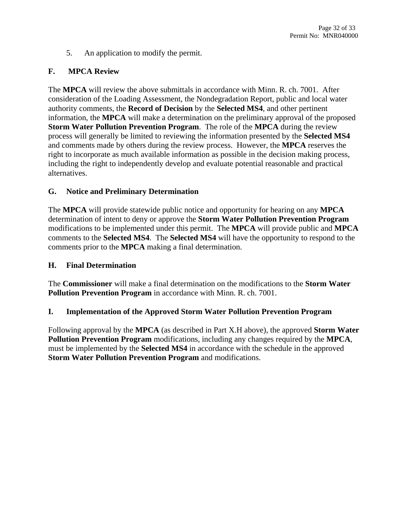5. An application to modify the permit.

## **F. MPCA Review**

The **MPCA** will review the above submittals in accordance with Minn. R. ch. 7001. After consideration of the Loading Assessment, the Nondegradation Report, public and local water authority comments, the **Record of Decision** by the **Selected MS4**, and other pertinent information, the **MPCA** will make a determination on the preliminary approval of the proposed **Storm Water Pollution Prevention Program**. The role of the **MPCA** during the review process will generally be limited to reviewing the information presented by the **Selected MS4** and comments made by others during the review process. However, the **MPCA** reserves the right to incorporate as much available information as possible in the decision making process, including the right to independently develop and evaluate potential reasonable and practical alternatives.

#### **G. Notice and Preliminary Determination**

The **MPCA** will provide statewide public notice and opportunity for hearing on any **MPCA**  determination of intent to deny or approve the **Storm Water Pollution Prevention Program** modifications to be implemented under this permit. The **MPCA** will provide public and **MPCA**  comments to the **Selected MS4**. The **Selected MS4** will have the opportunity to respond to the comments prior to the **MPCA** making a final determination.

#### **H. Final Determination**

The **Commissioner** will make a final determination on the modifications to the **Storm Water Pollution Prevention Program** in accordance with Minn. R. ch. 7001.

#### **I. Implementation of the Approved Storm Water Pollution Prevention Program**

Following approval by the **MPCA** (as described in Part X.H above), the approved **Storm Water Pollution Prevention Program** modifications, including any changes required by the **MPCA**, must be implemented by the **Selected MS4** in accordance with the schedule in the approved **Storm Water Pollution Prevention Program** and modifications.